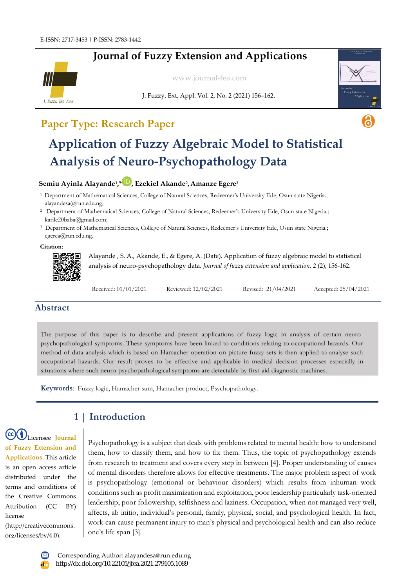# **Journal of Fuzzy Extension and Applications**



[www.journal-fea.com](http://www.journal-fea.com/)

J. Fuzzy. Ext. Appl. Vol. 2, No. 2 (2021) 156–162.



# **Paper Type: Research Paper**

# **Application of Fuzzy Algebraic Model to Statistical Analysis of Neuro-Psychopathology Data**

#### **Semiu Ayinla Alayande<sup>1</sup> ,\* , Ezekiel Akande<sup>2</sup> ,Amanze Egere<sup>3</sup>**

<sup>1</sup>Department of Mathematical Sciences, College of Natural Sciences, Redeemer's University Ede, Osun state Nigeria.; alayandesa@run.edu.ng;

<sup>2</sup> Department of Mathematical Sciences, College of Natural Sciences, Redeemer's University Ede, Osun state Nigeria.; karile20baba@gmail.com;

<sup>3</sup> Department of Mathematical Sciences, College of Natural Sciences, Redeemer's University Ede, Osun state Nigeria.; egerea@run.edu.ng.

**Citation:**



Alayande , S. A., Akande, E., & Egere, A. (Date). Application of fuzzy algebraic model to statistical analysis of neuro-psychopathology data. *Journal of fuzzy extension and application, 2* (2), 156-162.

Received: 01/01/2021 Reviewed: 12/02/2021 Revised: 21/04/2021 Accepted: 25/04/2021

## **Abstract**

The purpose of this paper is to describe and present applications of fuzzy logic in analysis of certain neuropsychopathological symptoms. These symptoms have been linked to conditions relating to occupational hazards. Our method of data analysis which is based on Hamacher operation on picture fuzzy sets is then applied to analyse such occupational hazards. Our result proves to be effective and applicable in medical decision processes especially in situations where such neuro-psychopathological symptoms are detectable by first-aid diagnostic machines.

**Keywords**: Fuzzy logic, Hamacher sum, Hamacher product, Psychopathology.

# Licensee **Journal of Fuzzy Extension and Applications**. This article is an open access article distributed under the terms and conditions of the Creative Commons Attribution (CC BY) license

(http://creativecommons. org/licenses/by/4.0).

**1 | Introduction**

Psychopathology is a subject that deals with problems related to mental health: how to understand them, how to classify them, and how to fix them. Thus, the topic of psychopathology extends from research to treatment and covers every step in between [4]. Proper understanding of causes of mental disorders therefore allows for effective treatments. The major problem aspect of work is psychopathology (emotional or behaviour disorders) which results from inhuman work conditions such as profit maximization and exploitation, poor leadership particularly task-oriented leadership, poor followership, selfishness and laziness. Occupation, when not managed very well, affects, ab initio, individual's personal, family, physical, social, and psychological health. In fact, work can cause permanent injury to man's physical and psychological health and can also reduce one's life span [3].

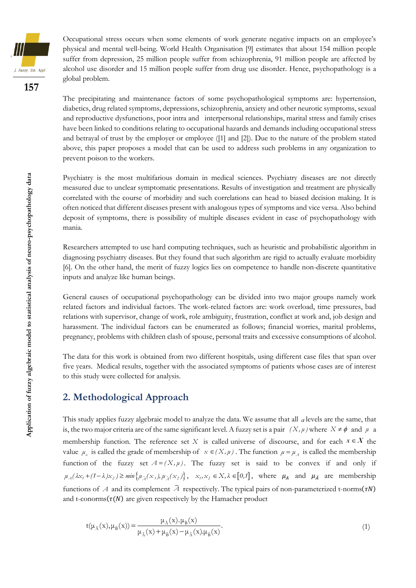

**157**

Occupational stress occurs when some elements of work generate negative impacts on an employee's physical and mental well-being. World Health Organisation [9] estimates that about 154 million people suffer from depression, 25 million people suffer from schizophrenia, 91 million people are affected by alcohol use disorder and 15 million people suffer from drug use disorder. Hence, psychopathology is a global problem.

The precipitating and maintenance factors of some psychopathological symptoms are: hypertension, diabetics, drug related symptoms, depressions, schizophrenia, anxiety and other neurotic symptoms, sexual and reproductive dysfunctions, poor intra and interpersonal relationships, marital stress and family crises have been linked to conditions relating to occupational hazards and demands including occupational stress and betrayal of trust by the employer or employee ([1] and [2]). Due to the nature of the problem stated above, this paper proposes a model that can be used to address such problems in any organization to prevent poison to the workers.

Psychiatry is the most multifarious domain in medical sciences. Psychiatry diseases are not directly measured due to unclear symptomatic presentations. Results of investigation and treatment are physically correlated with the course of morbidity and such correlations can head to biased decision making. It is often noticed that different diseases present with analogous types of symptoms and vice versa. Also behind deposit of symptoms, there is possibility of multiple diseases evident in case of psychopathology with mania.

Researchers attempted to use hard computing techniques, such as heuristic and probabilistic algorithm in diagnosing psychiatry diseases. But they found that such algorithm are rigid to actually evaluate morbidity [6]. On the other hand, the merit of fuzzy logics lies on competence to handle non-discrete quantitative inputs and analyze like human beings.

General causes of occupational psychopathology can be divided into two major groups namely work related factors and individual factors. The work-related factors are: work overload, time pressures, bad relations with supervisor, change of work, role ambiguity, frustration, conflict at work and, job design and harassment. The individual factors can be enumerated as follows; financial worries, marital problems, pregnancy, problems with children clash of spouse, personal traits and excessive consumptions of alcohol.

The data for this work is obtained from two different hospitals, using different case files that span over five years. Medical results, together with the associated symptoms of patients whose cases are of interest to this study were collected for analysis.

# **2. Methodological Approach**

This study applies fuzzy algebraic model to analyze the data. We assume that all *α* levels are the same, that is, the two major criteria are of the same significant level. A fuzzy set is a pair  $(X, \mu)$  where  $X \neq \phi$  and  $\mu$  a membership function. The reference set X is called universe of discourse, and for each  $x \in X$  the value  $\mu_x$  is called the grade of membership of  $x \in (X, \mu)$ . The function  $\mu = \mu_A$  is called the membership function of the fuzzy set  $A = (X, \mu)$ . The fuzzy set is said to be convex if and only if  $\mu_A(\lambda x_1 + (1 - \lambda)x_2) \ge \min\{\mu_{\overline{A}}(x_1), \mu_{\overline{A}}(x_2)\}, \quad x_1, x_2 \in X, \lambda \in [0,1],$  where  $\mu_A$  and  $\mu_{\overline{A}}$  are membership functions of A and its complement  $\bar{A}$  respectively. The typical pairs of non-parameterized t-norms( $\tau N$ ) and t-conorms( $\tau(N)$  are given respectively by the Hamacher product

$$
t(\mu_{\tilde{\Lambda}}(x), \mu_{\tilde{B}}(x)) = \frac{\mu_{\tilde{\Lambda}}(x) \cdot \mu_{\tilde{B}}(x)}{\mu_{\tilde{\Lambda}}(x) + \mu_{\tilde{B}}(x) - \mu_{\tilde{\Lambda}}(x) \cdot \mu_{\tilde{B}}(x)}.
$$
\n(1)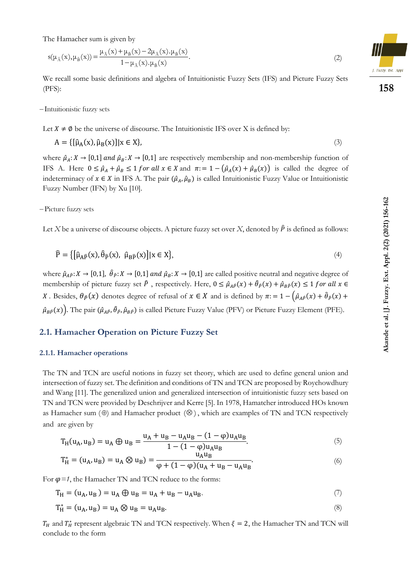The Hamacher sum is given by  
\n
$$
s(\mu_{\tilde{\Lambda}}(x), \mu_{\tilde{B}}(x)) = \frac{\mu_{\tilde{\Lambda}}(x) + \mu_{\tilde{B}}(x) - 2\mu_{\tilde{\Lambda}}(x) \cdot \mu_{\tilde{B}}(x)}{1 - \mu_{\tilde{\Lambda}}(x) \cdot \mu_{\tilde{B}}(x)}.
$$
\n(2)

We recall some basic definitions and algebra of Intuitionistic Fuzzy Sets (IFS) and Picture Fuzzy Sets (PFS):

Intuitionistic fuzzy sets

Let  $X \neq \emptyset$  be the universe of discourse. The Intuitionistic IFS over X is defined by:

 $A = \{[\hat{\mu}_A(x), \hat{\mu}_B(x)]|x \in X\},\tag{3}$ 

where  $\hat{\mu}_A: X \to [0,1]$  and  $\hat{\mu}_B: X \to [0,1]$  are respectively membership and non-membership function of IFS A. Here  $0 \le \hat{\mu}_A + \hat{\mu}_B \le 1$  for all  $x \in X$  and  $\pi = 1 - (\hat{\mu}_A(x) + \hat{\mu}_B(x))$  is called the degree of indeterminacy of  $x \in X$  in IFS A. The pair  $(\hat{\mu}_A, \hat{\mu}_B)$  is called Intuitionistic Fuzzy Value or Intuitionistic Fuzzy Number (IFN) by Xu [10].

Picture fuzzy sets

Let *X* be a universe of discourse objects. A picture fuzzy set over *X*, denoted by  $\hat{P}$  is defined as follows:

$$
\widehat{P} = \{ \left[ \widehat{\mu}_{A\widehat{P}}(x), \widehat{\theta}_{\widehat{P}}(x), \ \widehat{\mu}_{B\widehat{P}}(x) \right] | x \in X \},\tag{4}
$$

where  $\hat{\mu}_{A}\hat{P}:X\to[0,1], \hat{\theta}_{\hat{P}:X}\to[0,1]$  and  $\hat{\mu}_{B}:X\to[0,1]$  are called positive neutral and negative degree of membership of picture fuzzy set  $\hat{P}$ , respectively. Here,  $0 \leq \hat{\mu}_{A\hat{P}}(x) + \hat{\theta}_{\hat{P}}(x) + \hat{\mu}_{B\hat{P}}(x) \leq 1$  for all  $x \in$ X. Besides,  $\theta_{\hat{P}}(x)$  denotes degree of refusal of  $x \in X$  and is defined by  $\pi$ : = 1 -  $(\hat{\mu}_{A\hat{P}}(x) + \hat{\theta}_{\hat{P}}(x) + \hat{\theta}_{\hat{P}}(x))$  $\hat\mu_B$ p̃(x)). The pair ( $\hat\mu_{A\widehat P},\hat\theta_P,\hat\mu_B$ p) is called Picture Fuzzy Value (PFV) or Picture Fuzzy Element (PFE).

#### **2.1. Hamacher Operation on Picture Fuzzy Set**

#### **2.1.1. Hamacher operations**

The TN and TCN are useful notions in fuzzy set theory, which are used to define general union and intersection of fuzzy set. The definition and conditions of TN and TCN are proposed by Roychowdhury and Wang [11]. The generalized union and generalized intersection of intuitionistic fuzzy sets based on TN and TCN were provided by Deschrijver and Kerre [5]. In 1978, Hamatcher introduced HOs known as Hamacher sum  $(\oplus)$  and Hamacher product  $(\otimes)$ , which are examples of TN and TCN respectively and are given by

$$
T_H(u_A, u_B) = u_A \oplus u_B = \frac{u_A + u_B - u_A u_B - (1 - \varphi) u_A u_B}{1 - (1 - \varphi) u_A u_B}.
$$
\n(5)

$$
T_{H}^{*} = (u_{A}, u_{B}) = u_{A} \otimes u_{B}) = \frac{u_{A}u_{B}}{\varphi + (1 - \varphi)(u_{A} + u_{B} - u_{A}u_{B})}.
$$
\n(6)

For  $\varphi$  = 1, the Hamacher TN and TCN reduce to the forms:

$$
T_H = (u_A, u_B) = u_A \oplus u_B = u_A + u_B - u_A u_B. \tag{7}
$$

$$
T_H^* = (u_A, u_B) = u_A \otimes u_B = u_A u_B. \tag{8}
$$

 $T_H$  and  $T_H^*$  represent algebraic TN and TCN respectively. When  $\xi = 2$ , the Hamacher TN and TCN will conclude to the form



**158**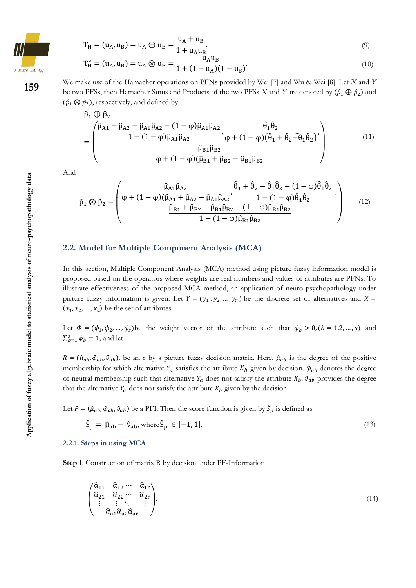

**159**

$$
T_{H} = (u_{A}, u_{B}) = u_{A} \oplus u_{B} = \frac{u_{A} + u_{B}}{1 + u_{A}u_{B}}.
$$
\n(9)

$$
T_H^* = (u_A, u_B) = u_A \otimes u_B = \frac{u_A u_B}{1 + (1 - u_A)(1 - u_B)}.
$$
\n(10)

We make use of the Hamacher operations on PFNs provided by Wei [7] and Wu & Wei [8]. Let *X* and *Y* be two PFSs, then Hamacher Sums and Products of the two PFSs *X* and *Y* are denoted by  $(\hat{p}_1 \oplus \hat{p}_2)$  and  $(\hat{p}_1 \otimes \hat{p}_2)$ , respectively, and defined by

$$
\hat{p}_1 \oplus \hat{p}_2\n= \left( \frac{\hat{\mu}_{A1} + \hat{\mu}_{A2} - \hat{\mu}_{A1} \hat{\mu}_{A2} - (1 - \varphi)\hat{\mu}_{A1} \hat{\mu}_{A2}}{1 - (1 - \varphi)\hat{\mu}_{A1} \hat{\mu}_{A2}}, \frac{\hat{\theta}_1 \hat{\theta}_2}{\varphi + (1 - \varphi)(\hat{\theta}_1 + \hat{\theta}_2 - \hat{\theta}_1 \hat{\theta}_2)}, \frac{\hat{\mu}_{B1} \hat{\mu}_{B2}}{\varphi + (1 - \varphi)(\hat{\mu}_{B1} + \hat{\mu}_{B2} - \hat{\mu}_{B1} \hat{\mu}_{B2}} \right) (11)
$$

And

$$
\hat{p}_1 \otimes \hat{p}_2 = \begin{pmatrix}\n\hat{\mu}_{A1} \hat{\mu}_{A2} & \hat{\theta}_1 + \hat{\theta}_2 - \hat{\theta}_1 \hat{\theta}_2 - (1 - \varphi) \hat{\theta}_1 \hat{\theta}_2 \\
\varphi + (1 - \varphi)(\hat{\mu}_{A1} + \hat{\mu}_{A2} - \hat{\mu}_{A1} \hat{\mu}_{A2}) & 1 - (1 - \varphi) \hat{\theta}_1 \hat{\theta}_2 \\
\frac{\hat{\mu}_{B1} + \hat{\mu}_{B2} - \hat{\mu}_{B1} \hat{\mu}_{B2} - (1 - \varphi) \hat{\mu}_{B1} \hat{\mu}_{B2}}{1 - (1 - \varphi) \hat{\mu}_{B1} \hat{\mu}_{B2}}\n\end{pmatrix} (12)
$$

#### **2.2. Model for Multiple Component Analysis (MCA)**

In this section, Multiple Component Analysis (MCA) method using picture fuzzy information model is proposed based on the operators where weights are real numbers and values of attributes are PFNs. To illustrate effectiveness of the proposed MCA method, an application of neuro-psychopathology under picture fuzzy information is given. Let  $Y = (y_1, y_2, ..., y_r)$  be the discrete set of alternatives and  $X =$  $(x_1, x_2, ..., x_s)$  be the set of attributes.

Let  $\Phi = (\phi_1, \phi_2, ..., \phi_s)$  be the weight vector of the attribute such that  $\phi_b > 0$ ,  $(b = 1, 2, ..., s)$  and  $\sum_{b=1}^{s} \phi_b = 1$ , and let

 $R = (\hat{\mu}_{ab}, \hat{\varphi}_{ab}, \hat{v}_{ab})$ , be an r by s picture fuzzy decision matrix. Here,  $\hat{\mu}_{ab}$  is the degree of the positive membership for which alternative  $Y_a$  satisfies the attribute  $X_b$  given by decision.  $\hat{\varphi}_{ab}$  denotes the degree of neutral membership such that alternative  $Y_a$  does not satisfy the attribute  $X_b$ .  $\hat{v}_{ab}$  provides the degree that the alternative  $Y_a$  does not satisfy the attribute  $X_b$  given by the decision.

Let  $\hat{P} = (\hat{\mu}_{ab}, \hat{\varphi}_{ab}, \hat{v}_{ab})$  be a PFI. Then the score function is given by  $\hat{S}_p$  is defined as

$$
\hat{S}_p = \hat{\mu}_{ab} - \hat{v}_{ab}, \text{ where } \hat{S}_p \in [-1, 1]. \tag{13}
$$

#### **2.2.1. Steps in using MCA**

**Step 1**. Construction of matrix R by decision under PF-Information

$$
\begin{pmatrix}\n\hat{\alpha}_{11} & \hat{\alpha}_{12} \cdots & \hat{\alpha}_{1r} \\
\hat{\alpha}_{21} & \hat{\alpha}_{22} \cdots & \hat{\alpha}_{2r} \\
\vdots & \vdots & \ddots & \vdots \\
\hat{\alpha}_{a1} \hat{\alpha}_{a2} \hat{\alpha}_{ar}\n\end{pmatrix}.
$$
\n(14)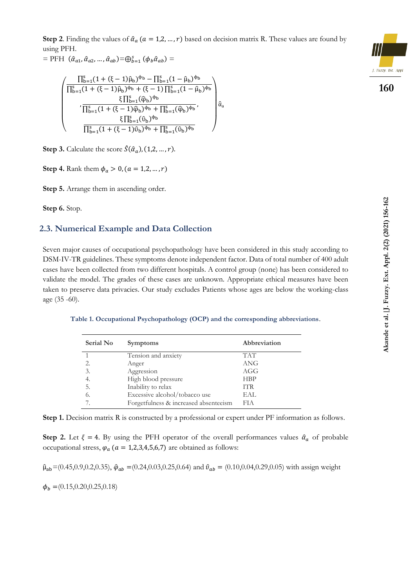**Step 2.** Finding the values of  $\hat{\alpha}_a$  ( $a = 1, 2, ..., r$ ) based on decision matrix R. These values are found by using PFH.

 $=$  PFH  $(\hat{a}_{a1}, \hat{a}_{a2}, ..., \hat{a}_{ab}) = \bigoplus_{b=1}^{s} (\phi_b \hat{a}_{ab}) =$ 

$$
\begin{pmatrix} \frac{\prod_{b=1}^{s}(1+(\xi-1)\hat{\mu}_{b})^{\varphi_{b}}-\prod_{b=1}^{s}(1-\hat{\mu}_{b})^{\varphi_{b}}}{\prod_{b=1}^{s}(1+(\xi-1)\hat{\mu}_{b})^{\varphi_{b}}+(\xi-1)\prod_{b=1}^{s}(1-\hat{\mu}_{b})^{\varphi_{b}}} \\ \frac{\xi\prod_{b=1}^{s}(\widehat{\phi}_{b})^{\varphi_{b}}}{\prod_{b=1}^{s}(1+(\xi-1)\widehat{\phi}_{b})^{\varphi_{b}}+\prod_{b=1}^{s}(\widehat{\phi}_{b})^{\varphi_{b}}} \\ \frac{\xi\prod_{b=1}^{s}(\widehat{\upsilon}_{b})^{\varphi_{b}}}{\prod_{b=1}^{s}(1+(\xi-1)\widehat{\upsilon}_{b})^{\varphi_{b}}+\prod_{b=1}^{s}(\widehat{\upsilon}_{b})^{\varphi_{b}}} \end{pmatrix} \widehat{\alpha}_{a}
$$

**Step 3.** Calculate the score  $\hat{S}(\hat{\alpha}_a)$ , (1,2, ..., *r*).

**Step 4.** Rank them  $\phi_a > 0$ ,  $(a = 1, 2, ..., r)$ 

**Step 5.** Arrange them in ascending order.

**Step 6.** Stop.

#### **2.3. Numerical Example and Data Collection**

Seven major causes of occupational psychopathology have been considered in this study according to DSM-IV-TR guidelines. These symptoms denote independent factor. Data of total number of 400 adult cases have been collected from two different hospitals. A control group (none) has been considered to validate the model. The grades of these cases are unknown. Appropriate ethical measures have been taken to preserve data privacies. Our study excludes Patients whose ages are below the working-class age (35 -60).

**Table 1. Occupational Psychopathology (OCP) and the corresponding abbreviations**.

| Serial No | <b>Symptoms</b>                       | Abbreviation |
|-----------|---------------------------------------|--------------|
|           | Tension and anxiety                   | <b>TAT</b>   |
|           | Anger                                 | <b>ANG</b>   |
| 3.        | Aggression                            | AGG          |
| 4.        | High blood pressure                   | <b>HBP</b>   |
| 5.        | Inability to relax                    | <b>ITR</b>   |
| 6.        | Excessive alcohol/tobacco use         | EAL          |
|           | Forgetfulness & increased absenteeism | FIA          |

**Step 1.** Decision matrix R is constructed by a professional or expert under PF information as follows.

**Step 2.** Let  $\xi = 4$ . By using the PFH operator of the overall performances values  $\hat{\alpha}_a$  of probable occupational stress,  $\varphi_a$  ( $a = 1,2,3,4,5,6,7$ ) are obtained as follows:

 $\hat{\mu}_{ab}$ =(0.45,0.9,0.2,0.35),  $\hat{\varphi}_{ab}$  =(0.24,0.03,0.25,0.64) and  $\hat{v}_{ab}$  = (0.10,0.04,0.29,0.05) with assign weight

 $\phi_b = (0.15, 0.20, 0.25, 0.18)$ 



**160**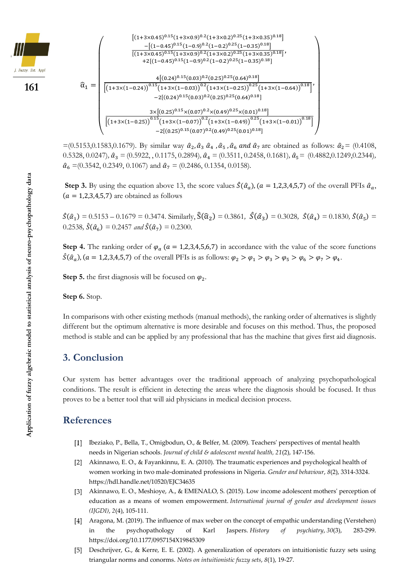





 $\hat{\alpha}_2 = (0.5153, 0.1583, 0.1679)$ . By similar way  $\hat{\alpha}_2$ ,  $\hat{\alpha}_3$ ,  $\hat{\alpha}_4$ ,  $\hat{\alpha}_5$ ,  $\hat{\alpha}_6$  and  $\hat{\alpha}_7$  are obtained as follows:  $\hat{\alpha}_2 = (0.4108, 0.1583, 0.1679)$ . 0.5328, 0.0247)*,*  $\hat{\alpha}_3 = (0.5922, 0.1175, 0.2894)$ ,  $\hat{\alpha}_4 = (0.3511, 0.2458, 0.1681)$ ,  $\hat{\alpha}_5 = (0.4882, 0.1249, 0.2344)$ ,  $\hat{\alpha}_6 = (0.3542, 0.2349, 0.1067)$  and  $\hat{\alpha}_7 = (0.2486, 0.1354, 0.0158)$ *.* 

**Step 3.** By using the equation above 13, the score values  $\hat{S}(\hat{a}_a)$ , ( $a = 1,2,3,4,5,7$ ) of the overall PFIs  $\hat{a}_a$ ,  $(a = 1,2,3,4,5,7)$  are obtained as follows

 $\hat{S}(\hat{a}_1) = 0.5153 - 0.1679 = 0.3474$ . Similarly,  $\hat{S}(\hat{a}_2) = 0.3861$ ,  $\hat{S}(\hat{a}_3) = 0.3028$ ,  $\hat{S}(\hat{a}_4) = 0.1830$ ,  $\hat{S}(\hat{a}_5) = 0.3028$ 0.2538,  $\hat{S}(\hat{\alpha}_6) = 0.2457$  and  $\hat{S}(\hat{\alpha}_7) = 0.2300$ .

**Step 4.** The ranking order of  $\varphi_a$  ( $a = 1,2,3,4,5,6,7$ ) in accordance with the value of the score functions  $\hat{S}(\hat{a}_a)$ ,  $(a = 1,2,3,4,5,7)$  of the overall PFIs is as follows:  $\varphi_2 > \varphi_1 > \varphi_3 > \varphi_5 > \varphi_6 > \varphi_7 > \varphi_4$ .

**Step 5.** the first diagnosis will be focused on  $\varphi_2$ .

**Step 6.** Stop.

In comparisons with other existing methods (manual methods), the ranking order of alternatives is slightly different but the optimum alternative is more desirable and focuses on this method. Thus, the proposed method is stable and can be applied by any professional that has the machine that gives first aid diagnosis.

## **3. Conclusion**

Our system has better advantages over the traditional approach of analyzing psychopathological conditions. The result is efficient in detecting the areas where the diagnosis should be focused. It thus proves to be a better tool that will aid physicians in medical decision process.

## **References**

- Ibeziako, P., Bella, T., Omigbodun, O., & Belfer, M. (2009). Teachers' perspectives of mental health needs in Nigerian schools. *Journal of child & adolescent mental health, 21*(2), 147-156.
- $\lceil 2 \rceil$ Akinnawo, E. O., & Fayankinnu, E. A. (2010). The traumatic experiences and psychological health of women working in two male-dominated professions in Nigeria. *Gender and behaviour*, *8*(2), 3314-3324. <https://hdl.handle.net/10520/EJC34635>
- Akinnawo, E. O., Meshioye, A., & EMENALO, S. (2015). Low income adolescent mothers' perception of education as a means of women empowerment. *International journal of gender and development issues (IJGDI)*, *2*(4), 105-111.
- Aragona, M. (2019). The influence of max weber on the concept of empathic understanding (Verstehen) in the psychopathology of Karl Jaspers. *History of psychiatry*, *30*(3), 283-299. [https://doi.org/10.1177/0957154X19845309](https://doi.org/10.1177%2F0957154X19845309)
- Deschrijver, G., & Kerre, E. E. (2002). A generalization of operators on intuitionistic fuzzy sets using triangular norms and conorms. *Notes on intuitionistic fuzzy sets*, *8*(1), 19-27.